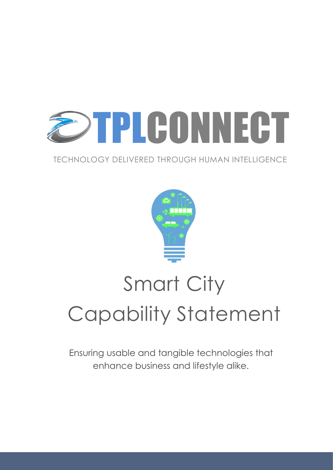

#### TECHNOLOGY DELIVERED THROUGH HUMAN INTELLIGENCE



# Smart City Capability Statement

Ensuring usable and tangible technologies that enhance business and lifestyle alike.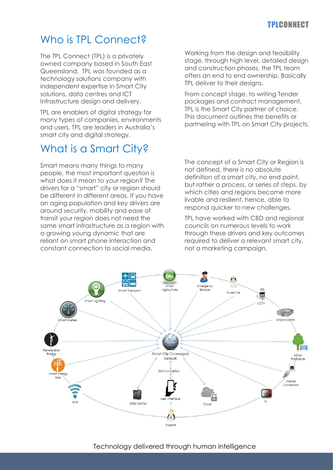#### TPLCONNECT

## Who is TPL Connect?

The TPL Connect (TPL) is a privately owned company based in South East Queensland. TPL was founded as a technology solutions company with independent expertise in Smart City solutions, data centres and ICT Infrastructure design and delivery.

TPL are enablers of digital strategy for many types of companies, environments and users. TPL are leaders in Australia's smart city and digital strategy.

## What is a Smart City?

Smart means many things to many people, the most important question is what does it mean to your region? The drivers for a "smart" city or region should be different in different areas. If you have an aging population and key drivers are around security, mobility and ease of transit your region does not need the same smart infrastructure as a region with a growing young dynamic that are reliant on smart phone interaction and constant connection to social media.

Working from the design and feasibility stage, through high level, detailed design and construction phases, the TPL team offers an end to end ownership. Basically TPL deliver to their designs.

From concept stage, to writing Tender packages and contract management, TPL is the Smart City partner of choice. This document outlines the benefits or partnering with TPL on Smart City projects.

The concept of a Smart City or Region is not defined, there is no absolute definition of a smart city, no end point, but rather a process, or series of steps, by which cities and regions become more livable and resilient, hence, able to respond quicker to new challenges.

TPL have worked with CBD and regional councils on numerous levels to work through these drivers and key outcomes required to deliver a relevant smart city, not a marketing campaign.

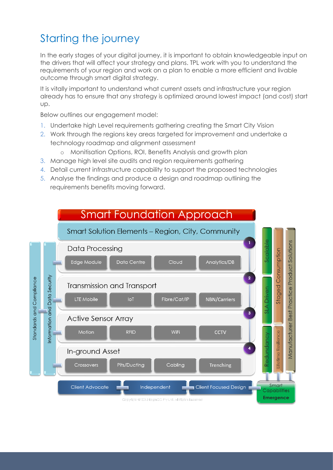## Starting the journey

In the early stages of your digital journey, it is important to obtain knowledgeable input on the drivers that will affect your strategy and plans. TPL work with you to understand the requirements of your region and work on a plan to enable a more efficient and livable outcome through smart digital strategy.

It is vitally important to understand what current assets and infrastructure your region already has to ensure that any strategy is optimized around lowest impact (and cost) start up.

Below outlines our engagement model:

- 1. Undertake high Level requirements gathering creating the Smart City Vision
- 2. Work through the regions key areas targeted for improvement and undertake a technology roadmap and alignment assessment
	- o Monitisation Options, ROI, Benefits Analysis and growth plan
- 3. Manage high level site audits and region requirements gathering
- 4. Detail current infrastructure capability to support the proposed technologies
- 5. Analyse the findings and produce a design and roadmap outlining the requirements benefits moving forward.

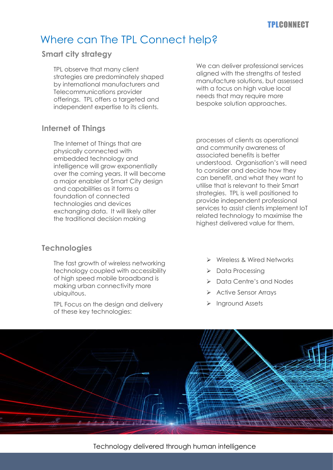#### TPLCONNECT

### Where can The TPL Connect help?

#### **Smart city strategy**

TPL observe that many client strategies are predominately shaped by international manufacturers and Telecommunications provider offerings. TPL offers a targeted and independent expertise to its clients.

We can deliver professional services aligned with the strengths of tested manufacture solutions, but assessed with a focus on high value local needs that may require more bespoke solution approaches.

#### **Internet of Things**

The Internet of Things that are physically connected with embedded technology and intelligence will grow exponentially over the coming years. It will become a major enabler of Smart City design and capabilities as it forms a foundation of connected technologies and devices exchanging data. It will likely alter the traditional decision making

#### **Technologies**

The fast growth of wireless networking technology coupled with accessibility of high speed mobile broadband is making urban connectivity more ubiquitous.

TPL Focus on the design and delivery of these key technologies:

processes of clients as operational and community awareness of associated benefits is better understood. Organisation's will need to consider and decide how they can benefit, and what they want to utilise that is relevant to their Smart strategies. TPL is well positioned to provide independent professional services to assist clients implement IoT related technology to maximise the highest delivered value for them.

- ➢ Wireless & Wired Networks
- ➢ Data Processing
- ➢ Data Centre's and Nodes
- ➢ Active Sensor Arrays
- ➢ Inground Assets



Technology delivered through human intelligence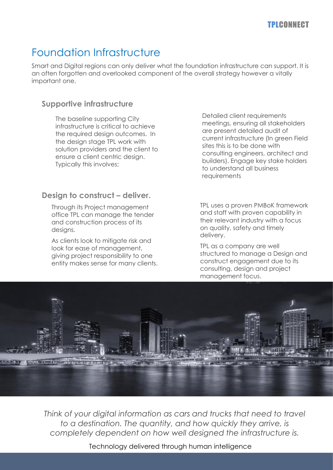## Foundation Infrastructure

Smart and Digital regions can only deliver what the foundation infrastructure can support. It is an often forgotten and overlooked component of the overall strategy however a vitally important one.

#### **Supportive infrastructure**

The baseline supporting City infrastructure is critical to achieve the required design outcomes. In the design stage TPL work with solution providers and the client to ensure a client centric design. Typically this involves;

#### **Design to construct – deliver.**

Through its Project management office TPL can manage the tender and construction process of its designs.

As clients look to mitigate risk and look for ease of management, giving project responsibility to one entity makes sense for many clients. Detailed client requirements meetings, ensuring all stakeholders are present detailed audit of current infrastructure (In green Field sites this is to be done with consulting engineers, architect and builders). Engage key stake holders to understand all business requirements

TPL uses a proven PMBoK framework and staff with proven capability in their relevant industry with a focus on quality, safety and timely delivery.

TPL as a company are well structured to manage a Design and construct engagement due to its consulting, design and project management focus.



*Think of your digital information as cars and trucks that need to travel to a destination. The quantity, and how quickly they arrive, is completely dependent on how well designed the infrastructure is.*

Technology delivered through human intelligence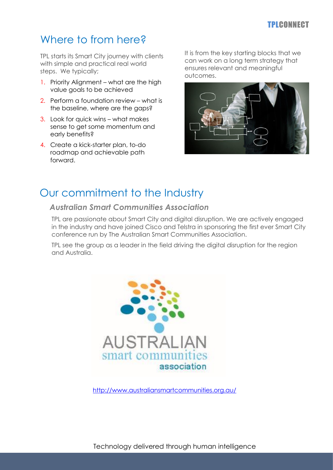#### TPLCONNECT

## Where to from here?

TPL starts its Smart City journey with clients with simple and practical real world steps. We typically;

- 1. Priority Alignment what are the high value goals to be achieved
- 2. Perform a foundation review what is the baseline, where are the gaps?
- 3. Look for quick wins what makes sense to get some momentum and early benefits?
- 4. Create a kick-starter plan, to-do roadmap and achievable path forward.

It is from the key starting blocks that we can work on a long term strategy that ensures relevant and meaningful outcomes.



## Our commitment to the Industry

#### *Australian Smart Communities Association*

TPL are passionate about Smart City and digital disruption. We are actively engaged in the industry and have joined Cisco and Telstra in sponsoring the first ever Smart City conference run by The Australian Smart Communities Association.

TPL see the group as a leader in the field driving the digital disruption for the region and Australia.



<http://www.australiansmartcommunities.org.au/>